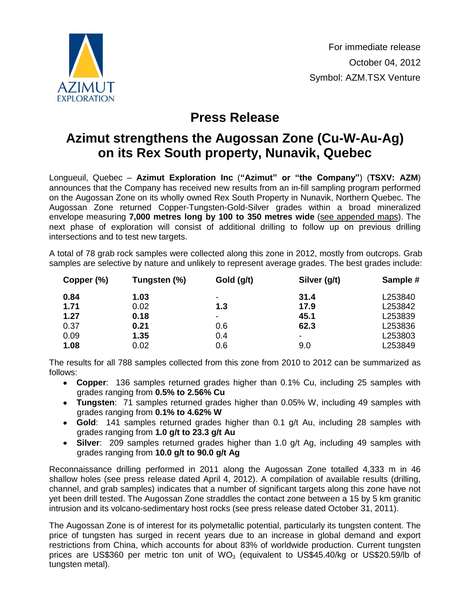

## **Press Release**

## **Azimut strengthens the Augossan Zone (Cu-W-Au-Ag) on its Rex South property, Nunavik, Quebec**

Longueuil, Quebec – **Azimut Exploration Inc** (**"Azimut" or "the Company"**) (**TSXV: AZM**) announces that the Company has received new results from an in-fill sampling program performed on the Augossan Zone on its wholly owned Rex South Property in Nunavik, Northern Quebec. The Augossan Zone returned Copper-Tungsten-Gold-Silver grades within a broad mineralized envelope measuring **7,000 metres long by 100 to 350 metres wide** [\(see appended maps\)](http://www.azimut-exploration.com/en/presentations/PR_20121004_Fig.pdf). The next phase of exploration will consist of additional drilling to follow up on previous drilling intersections and to test new targets.

A total of 78 grab rock samples were collected along this zone in 2012, mostly from outcrops. Grab samples are selective by nature and unlikely to represent average grades. The best grades include:

| Copper (%) | Tungsten (%) | Gold (g/t)     | Silver (g/t)             | Sample # |
|------------|--------------|----------------|--------------------------|----------|
| 0.84       | 1.03         | ٠              | 31.4                     | L253840  |
| 1.71       | 0.02         | 1.3            | 17.9                     | L253842  |
| 1.27       | 0.18         | $\blacksquare$ | 45.1                     | L253839  |
| 0.37       | 0.21         | 0.6            | 62.3                     | L253836  |
| 0.09       | 1.35         | 0.4            | $\overline{\phantom{a}}$ | L253803  |
| 1.08       | 0.02         | 0.6            | 9.0                      | L253849  |

The results for all 788 samples collected from this zone from 2010 to 2012 can be summarized as follows:

- **Copper**: 136 samples returned grades higher than 0.1% Cu, including 25 samples with grades ranging from **0.5% to 2.56% Cu**
- **Tungsten**: 71 samples returned grades higher than 0.05% W, including 49 samples with grades ranging from **0.1% to 4.62% W**
- **Gold**: 141 samples returned grades higher than 0.1 g/t Au, including 28 samples with grades ranging from **1.0 g/t to 23.3 g/t Au**
- **Silver**: 209 samples returned grades higher than 1.0 g/t Ag, including 49 samples with grades ranging from **10.0 g/t to 90.0 g/t Ag**

Reconnaissance drilling performed in 2011 along the Augossan Zone totalled 4,333 m in 46 shallow holes (see press release dated April 4, 2012). A compilation of available results (drilling, channel, and grab samples) indicates that a number of significant targets along this zone have not yet been drill tested. The Augossan Zone straddles the contact zone between a 15 by 5 km granitic intrusion and its volcano-sedimentary host rocks (see press release dated October 31, 2011).

The Augossan Zone is of interest for its polymetallic potential, particularly its tungsten content. The price of tungsten has surged in recent years due to an increase in global demand and export restrictions from China, which accounts for about 83% of worldwide production. Current tungsten prices are US\$360 per metric ton unit of  $WO<sub>3</sub>$  (equivalent to US\$45.40/kg or US\$20.59/lb of tungsten metal).